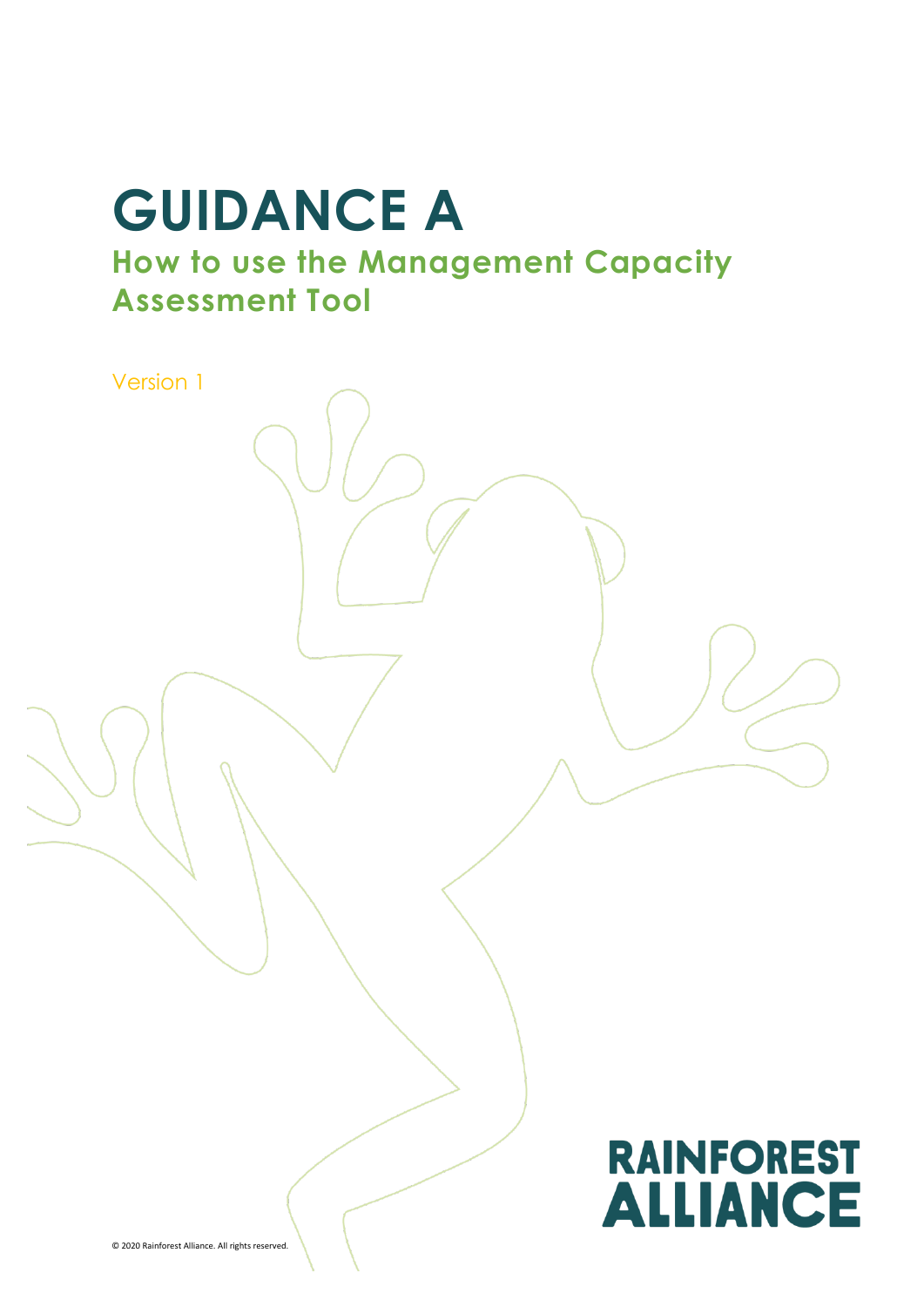# **GUIDANCE A**

**How to use the Management Capacity Assessment Tool**

Version 1**RAINFOREST ALLIANCE** © 2020 Rainforest Alliance. All rights reserved.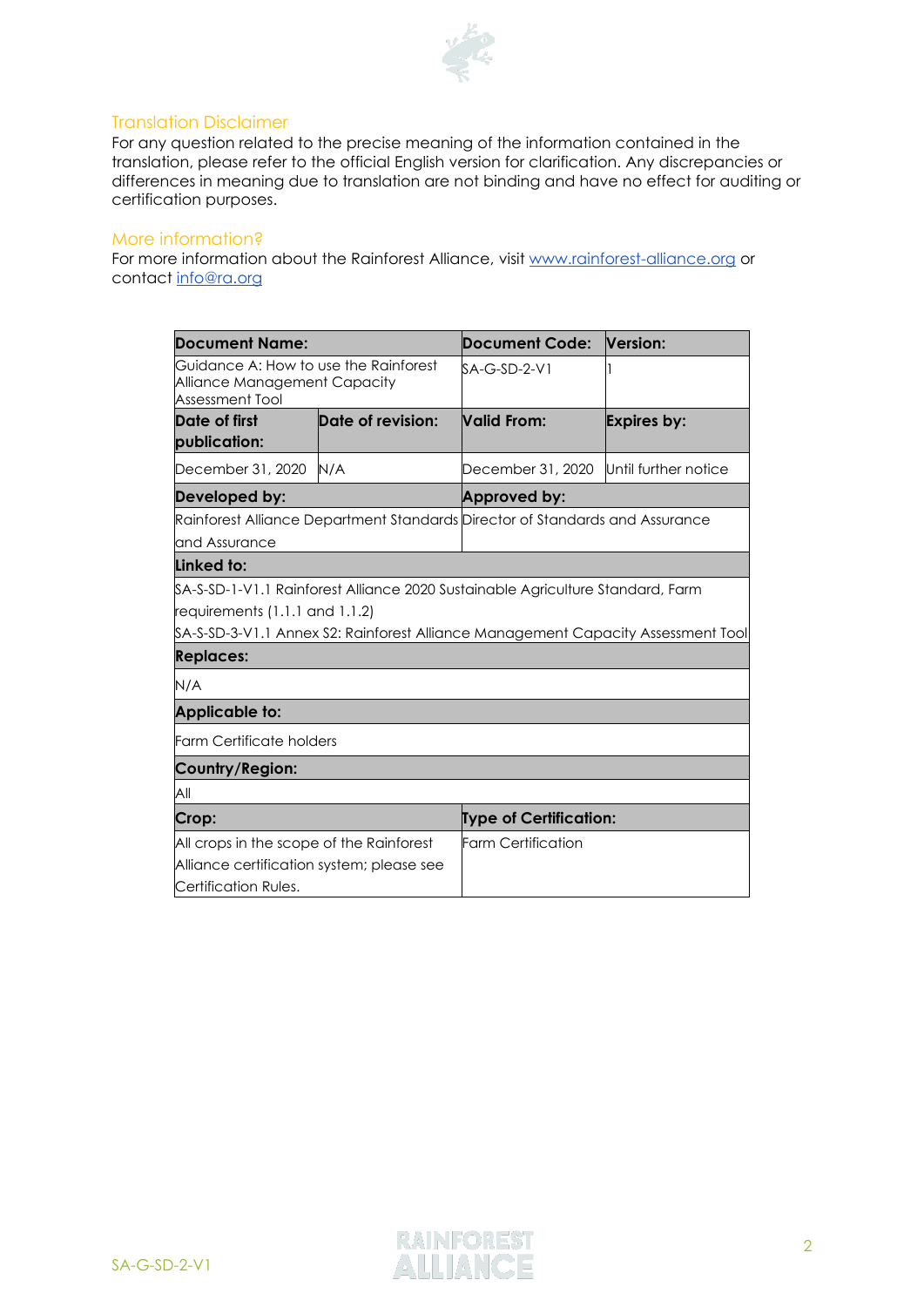

### Translation Disclaimer

For any question related to the precise meaning of the information contained in the translation, please refer to the official English version for clarification. Any discrepancies or differences in meaning due to translation are not binding and have no effect for auditing or certification purposes.

#### More information?

For more information about the Rainforest Alliance, visit [www.rainforest-alliance.org](http://www.rainforest-alliance.org/) or contact [info@ra.org](mailto:info@ra.org)

| <b>Document Name:</b>                                                                                         |                   | Document Code:                                                                                                                                                       | Version:             |  |  |  |
|---------------------------------------------------------------------------------------------------------------|-------------------|----------------------------------------------------------------------------------------------------------------------------------------------------------------------|----------------------|--|--|--|
| Guidance A: How to use the Rainforest<br>Alliance Management Capacity<br>Assessment Tool                      |                   | $SA-G-SD-2-V1$                                                                                                                                                       |                      |  |  |  |
| Date of first<br>publication:                                                                                 | Date of revision: | Valid From:                                                                                                                                                          | Expires by:          |  |  |  |
| December 31, 2020                                                                                             | N/A               | December 31, 2020                                                                                                                                                    | Until further notice |  |  |  |
| Developed by:                                                                                                 |                   | Approved by:                                                                                                                                                         |                      |  |  |  |
| and Assurance                                                                                                 |                   | Rainforest Alliance Department Standards Director of Standards and Assurance                                                                                         |                      |  |  |  |
| Linked to:                                                                                                    |                   |                                                                                                                                                                      |                      |  |  |  |
| requirements (1.1.1 and 1.1.2)<br><b>Replaces:</b>                                                            |                   | \$A-S-SD-1-V1.1 Rainforest Alliance 2020 Sustainable Agriculture Standard, Farm<br>\$A-S-SD-3-V1.1 Annex S2: Rainforest Alliance Management Capacity Assessment Tool |                      |  |  |  |
| N/A                                                                                                           |                   |                                                                                                                                                                      |                      |  |  |  |
| <b>Applicable to:</b>                                                                                         |                   |                                                                                                                                                                      |                      |  |  |  |
| <b>Farm Certificate holders</b>                                                                               |                   |                                                                                                                                                                      |                      |  |  |  |
| Country/Region:                                                                                               |                   |                                                                                                                                                                      |                      |  |  |  |
| All                                                                                                           |                   |                                                                                                                                                                      |                      |  |  |  |
| Crop:                                                                                                         |                   | <b>Type of Certification:</b>                                                                                                                                        |                      |  |  |  |
| All crops in the scope of the Rainforest<br>Alliance certification system; please see<br>Certification Rules. |                   | <b>Farm Certification</b>                                                                                                                                            |                      |  |  |  |

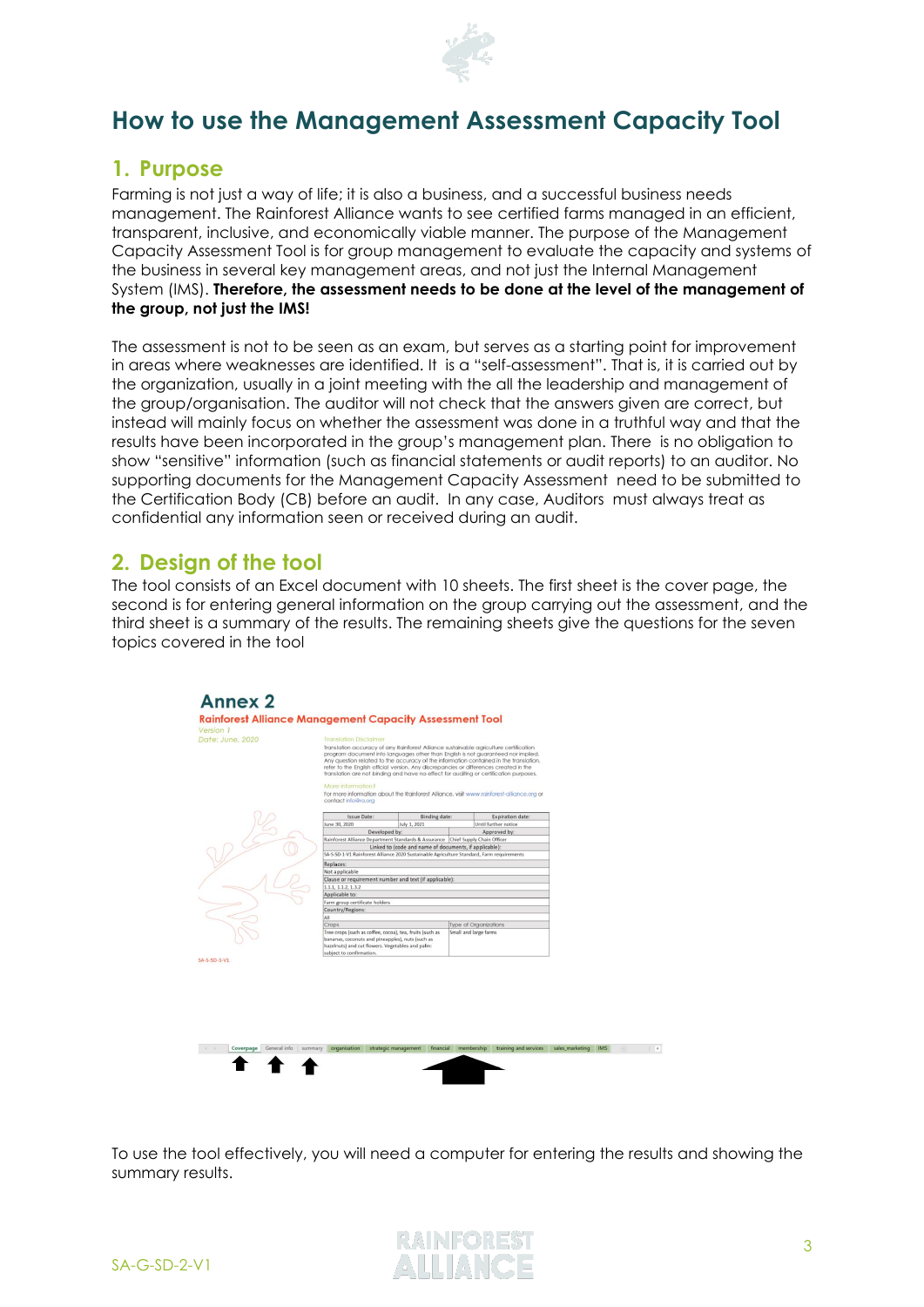

## **How to use the Management Assessment Capacity Tool**

## **1. Purpose**

Farming is not just a way of life; it is also a business, and a successful business needs management. The Rainforest Alliance wants to see certified farms managed in an efficient, transparent, inclusive, and economically viable manner. The purpose of the Management Capacity Assessment Tool is for group management to evaluate the capacity and systems of the business in several key management areas, and not just the Internal Management System (IMS). **Therefore, the assessment needs to be done at the level of the management of the group, not just the IMS!** 

The assessment is not to be seen as an exam, but serves as a starting point for improvement in areas where weaknesses are identified. It is a "self-assessment". That is, it is carried out by the organization, usually in a joint meeting with the all the leadership and management of the group/organisation. The auditor will not check that the answers given are correct, but instead will mainly focus on whether the assessment was done in a truthful way and that the results have been incorporated in the group's management plan. There is no obligation to show "sensitive" information (such as financial statements or audit reports) to an auditor. No supporting documents for the Management Capacity Assessment need to be submitted to the Certification Body (CB) before an audit. In any case, Auditors must always treat as confidential any information seen or received during an audit.

## **2. Design of the tool**

The tool consists of an Excel document with 10 sheets. The first sheet is the cover page, the second is for entering general information on the group carrying out the assessment, and the third sheet is a summary of the results. The remaining sheets give the questions for the seven topics covered in the tool

| Version 1<br>Date: June, 2020 | <b>Translation Disclaimer</b>                                                                                                    | Translation accuracy of any Rainforest Alliance sustainable agriculture certification<br>program document into languages other than English is not guaranteed nor implied.<br>Any question related to the accuracy of the information contained in the translation,<br>refer to the English official version. Any discrepancies or differences created in the<br>translation are not binding and have no effect for auditing or certification purposes. |                              |                                      |                     |  |  |
|-------------------------------|----------------------------------------------------------------------------------------------------------------------------------|---------------------------------------------------------------------------------------------------------------------------------------------------------------------------------------------------------------------------------------------------------------------------------------------------------------------------------------------------------------------------------------------------------------------------------------------------------|------------------------------|--------------------------------------|---------------------|--|--|
|                               | More information?<br>contact info@ra.org                                                                                         | For more information about the Rainforest Alliance, visit www.rainforest-alliance.org or                                                                                                                                                                                                                                                                                                                                                                |                              |                                      |                     |  |  |
|                               |                                                                                                                                  |                                                                                                                                                                                                                                                                                                                                                                                                                                                         |                              |                                      |                     |  |  |
|                               | Issue Date:                                                                                                                      | Binding date:                                                                                                                                                                                                                                                                                                                                                                                                                                           |                              | Expiration date:                     |                     |  |  |
|                               | June 30, 2020<br>Developed by:                                                                                                   | July 1, 2021                                                                                                                                                                                                                                                                                                                                                                                                                                            |                              | Until further notice<br>Approved by: |                     |  |  |
|                               | Rainforest Alliance Department Standards & Assurance Chief Supply Chain Officer                                                  |                                                                                                                                                                                                                                                                                                                                                                                                                                                         |                              |                                      |                     |  |  |
|                               |                                                                                                                                  | Linked to (code and name of documents, if applicable):                                                                                                                                                                                                                                                                                                                                                                                                  |                              |                                      |                     |  |  |
|                               | SA-S-SD-1-V1 Rainforest Alliance 2020 Sustainable Agriculture Standard, Farm requirements                                        |                                                                                                                                                                                                                                                                                                                                                                                                                                                         |                              |                                      |                     |  |  |
|                               | Replaces:                                                                                                                        |                                                                                                                                                                                                                                                                                                                                                                                                                                                         |                              |                                      |                     |  |  |
|                               | Not applicable                                                                                                                   |                                                                                                                                                                                                                                                                                                                                                                                                                                                         |                              |                                      |                     |  |  |
|                               | Clause or requirement number and text (if applicable):                                                                           |                                                                                                                                                                                                                                                                                                                                                                                                                                                         |                              |                                      |                     |  |  |
|                               | 1.1.1, 1.1.2, 1.3.2                                                                                                              |                                                                                                                                                                                                                                                                                                                                                                                                                                                         |                              |                                      |                     |  |  |
|                               | Applicable to:                                                                                                                   |                                                                                                                                                                                                                                                                                                                                                                                                                                                         |                              |                                      |                     |  |  |
|                               | Farm group certificate holders                                                                                                   |                                                                                                                                                                                                                                                                                                                                                                                                                                                         |                              |                                      |                     |  |  |
|                               | Country/Regions:                                                                                                                 |                                                                                                                                                                                                                                                                                                                                                                                                                                                         |                              |                                      |                     |  |  |
|                               | All                                                                                                                              |                                                                                                                                                                                                                                                                                                                                                                                                                                                         |                              |                                      |                     |  |  |
|                               | Crops                                                                                                                            |                                                                                                                                                                                                                                                                                                                                                                                                                                                         | <b>Type of Organizations</b> |                                      |                     |  |  |
|                               | Tree crops (such as coffee, cocoa), tea, fruits (such as                                                                         |                                                                                                                                                                                                                                                                                                                                                                                                                                                         | Small and large farms        |                                      |                     |  |  |
|                               | bananas, coconuts and pineapples), nuts (such as<br>hazelnuts) and cut flowers. Vegetables and palm:<br>subject to confirmation. |                                                                                                                                                                                                                                                                                                                                                                                                                                                         |                              |                                      |                     |  |  |
| SA-S-SD-3-V1                  |                                                                                                                                  |                                                                                                                                                                                                                                                                                                                                                                                                                                                         |                              |                                      |                     |  |  |
|                               |                                                                                                                                  |                                                                                                                                                                                                                                                                                                                                                                                                                                                         |                              |                                      |                     |  |  |
|                               |                                                                                                                                  |                                                                                                                                                                                                                                                                                                                                                                                                                                                         |                              |                                      |                     |  |  |
|                               |                                                                                                                                  |                                                                                                                                                                                                                                                                                                                                                                                                                                                         |                              |                                      |                     |  |  |
|                               |                                                                                                                                  |                                                                                                                                                                                                                                                                                                                                                                                                                                                         |                              |                                      |                     |  |  |
|                               |                                                                                                                                  |                                                                                                                                                                                                                                                                                                                                                                                                                                                         |                              |                                      |                     |  |  |
|                               |                                                                                                                                  |                                                                                                                                                                                                                                                                                                                                                                                                                                                         |                              |                                      |                     |  |  |
|                               |                                                                                                                                  |                                                                                                                                                                                                                                                                                                                                                                                                                                                         |                              |                                      |                     |  |  |
|                               |                                                                                                                                  |                                                                                                                                                                                                                                                                                                                                                                                                                                                         |                              |                                      |                     |  |  |
|                               |                                                                                                                                  |                                                                                                                                                                                                                                                                                                                                                                                                                                                         |                              |                                      |                     |  |  |
|                               |                                                                                                                                  |                                                                                                                                                                                                                                                                                                                                                                                                                                                         |                              |                                      |                     |  |  |
|                               |                                                                                                                                  |                                                                                                                                                                                                                                                                                                                                                                                                                                                         |                              |                                      | sales marketing IMS |  |  |
| General info<br>Coverpage     | organisation<br>strategic management<br>summary                                                                                  | financial                                                                                                                                                                                                                                                                                                                                                                                                                                               | membership                   | training and services                |                     |  |  |

To use the tool effectively, you will need a computer for entering the results and showing the summary results.

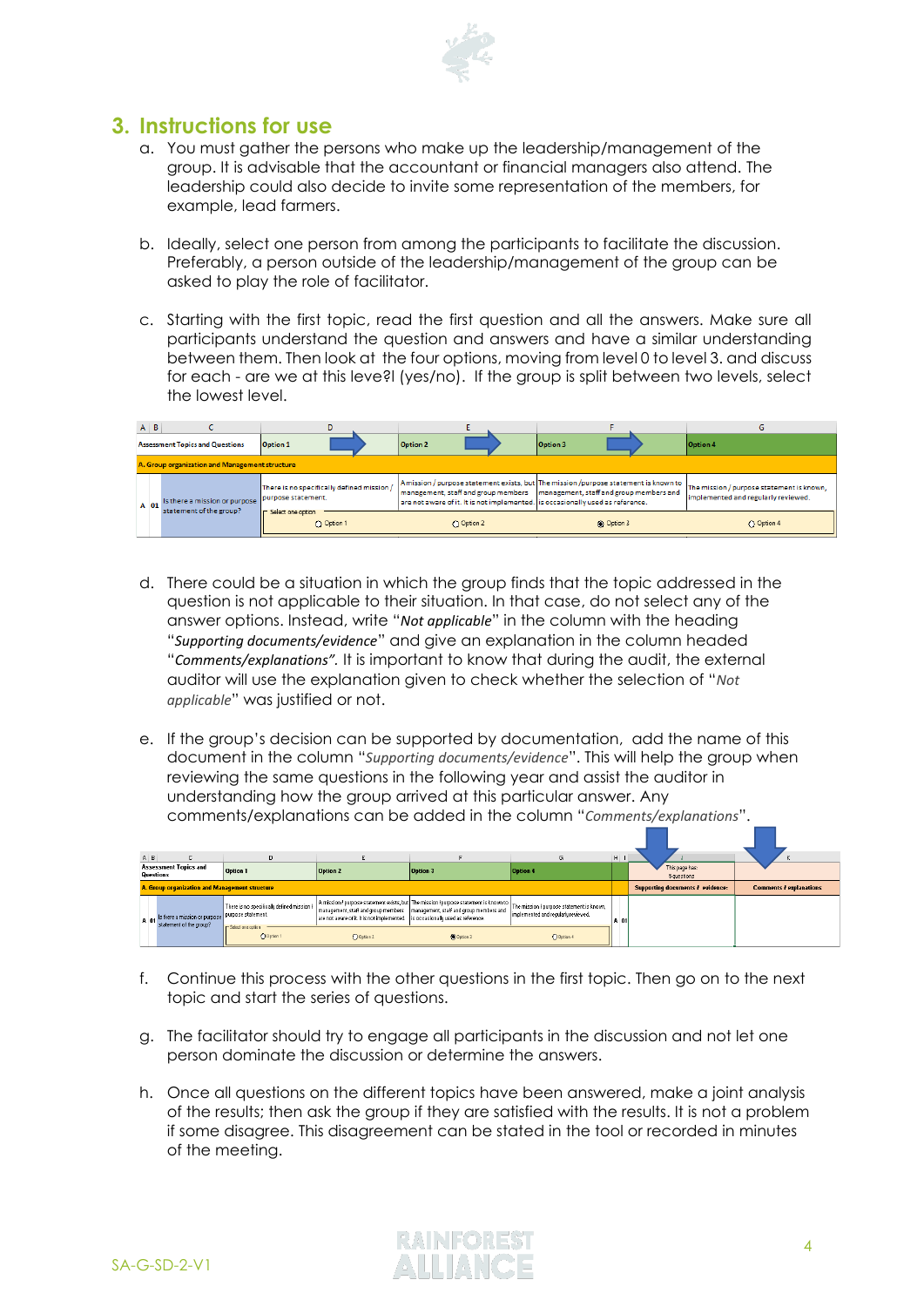

## **3. Instructions for use**

- a. You must gather the persons who make up the leadership/management of the group. It is advisable that the accountant or financial managers also attend. The leadership could also decide to invite some representation of the members, for example, lead farmers.
- b. Ideally, select one person from among the participants to facilitate the discussion. Preferably, a person outside of the leadership/management of the group can be asked to play the role of facilitator.
- c. Starting with the first topic, read the first question and all the answers. Make sure all participants understand the question and answers and have a similar understanding between them. Then look at the four options, moving from level 0 to level 3. and discuss for each - are we at this leve?l (yes/no). If the group is split between two levels, select the lowest level.

|                                        | $A \mid B$                                     |                                                          |                                                                  |                                                                                |                                                                                                                                                                     |                                                                                  |  |  |  |  |
|----------------------------------------|------------------------------------------------|----------------------------------------------------------|------------------------------------------------------------------|--------------------------------------------------------------------------------|---------------------------------------------------------------------------------------------------------------------------------------------------------------------|----------------------------------------------------------------------------------|--|--|--|--|
| <b>Assessment Topics and Questions</b> |                                                |                                                          | <b>Option 1</b>                                                  | Option 2                                                                       | <b>Option 3</b>                                                                                                                                                     | Option 4                                                                         |  |  |  |  |
|                                        | A. Group organization and Management structure |                                                          |                                                                  |                                                                                |                                                                                                                                                                     |                                                                                  |  |  |  |  |
|                                        | A 01                                           | Is there a mission or purpose<br>statement of the group? | There is no specifically defined mission /<br>purpose statement. | are not aware of it. It is not implemented. is occasionally used as reference. | A mission / purpose statement exists, but The mission /purpose statement is known to<br>management, staff and group members management, staff and group members and | The mission / purpose statement is known,<br>implemented and regularly reviewed. |  |  |  |  |
|                                        |                                                |                                                          | <b>F</b> Select one option<br>O Option 1                         | O Option 2                                                                     | @ Option 3                                                                                                                                                          | O Option 4                                                                       |  |  |  |  |

- d. There could be a situation in which the group finds that the topic addressed in the question is not applicable to their situation. In that case, do not select any of the answer options. Instead, write "*Not applicable*" in the column with the heading "*Supporting documents/evidence*" and give an explanation in the column headed "*Comments/explanations".* It is important to know that during the audit, the external auditor will use the explanation given to check whether the selection of "*Not applicable*" was justified or not.
- e. If the group's decision can be supported by documentation, add the name of this document in the column "*Supporting documents/evidence*". This will help the group when reviewing the same questions in the following year and assist the auditor in understanding how the group arrived at this particular answer. Any comments/explanations can be added in the column "*Comments/explanations*".

|                                                  | A <sub>B</sub>                                 |                                                                                 |                                                           |                                                                                |                                                                               |                                                                                                                                                                       | $H$   $I$ |                                         |                                |
|--------------------------------------------------|------------------------------------------------|---------------------------------------------------------------------------------|-----------------------------------------------------------|--------------------------------------------------------------------------------|-------------------------------------------------------------------------------|-----------------------------------------------------------------------------------------------------------------------------------------------------------------------|-----------|-----------------------------------------|--------------------------------|
| <b>Assessment Topics and</b><br><b>Questions</b> |                                                |                                                                                 | <b>Option 1</b>                                           | <b>Option 2</b>                                                                | <b>Option 3</b>                                                               | <b>Option 4</b>                                                                                                                                                       |           | This page has:<br>5 questions           |                                |
|                                                  | A. Group organization and Management structure |                                                                                 |                                                           |                                                                                |                                                                               |                                                                                                                                                                       |           | Supporting documents <i>I</i> evidence: | <b>Comments / explanations</b> |
|                                                  |                                                | A 01 s there a mission or purpose purpose statement.<br>statement of the group? | <sup>1</sup> There is no specifically defined mission $l$ | are not aware of it. It is not implemented. Is occasionally used as reference. | management, staff and group members   management, staff and group members and | A mission / purpose statement exists, but The mission /purpose statement is known to The mission / purpose statement is known,<br>implemented and regularly reviewed. | A 01      |                                         |                                |
|                                                  |                                                |                                                                                 | <b>F</b> Select one cotion<br>O Option 1                  | O Option 2                                                                     | <b>O</b> Option 3                                                             | O Option 4                                                                                                                                                            |           |                                         |                                |

- f. Continue this process with the other questions in the first topic. Then go on to the next topic and start the series of questions.
- g. The facilitator should try to engage all participants in the discussion and not let one person dominate the discussion or determine the answers.
- h. Once all questions on the different topics have been answered, make a joint analysis of the results; then ask the group if they are satisfied with the results. It is not a problem if some disagree. This disagreement can be stated in the tool or recorded in minutes of the meeting.

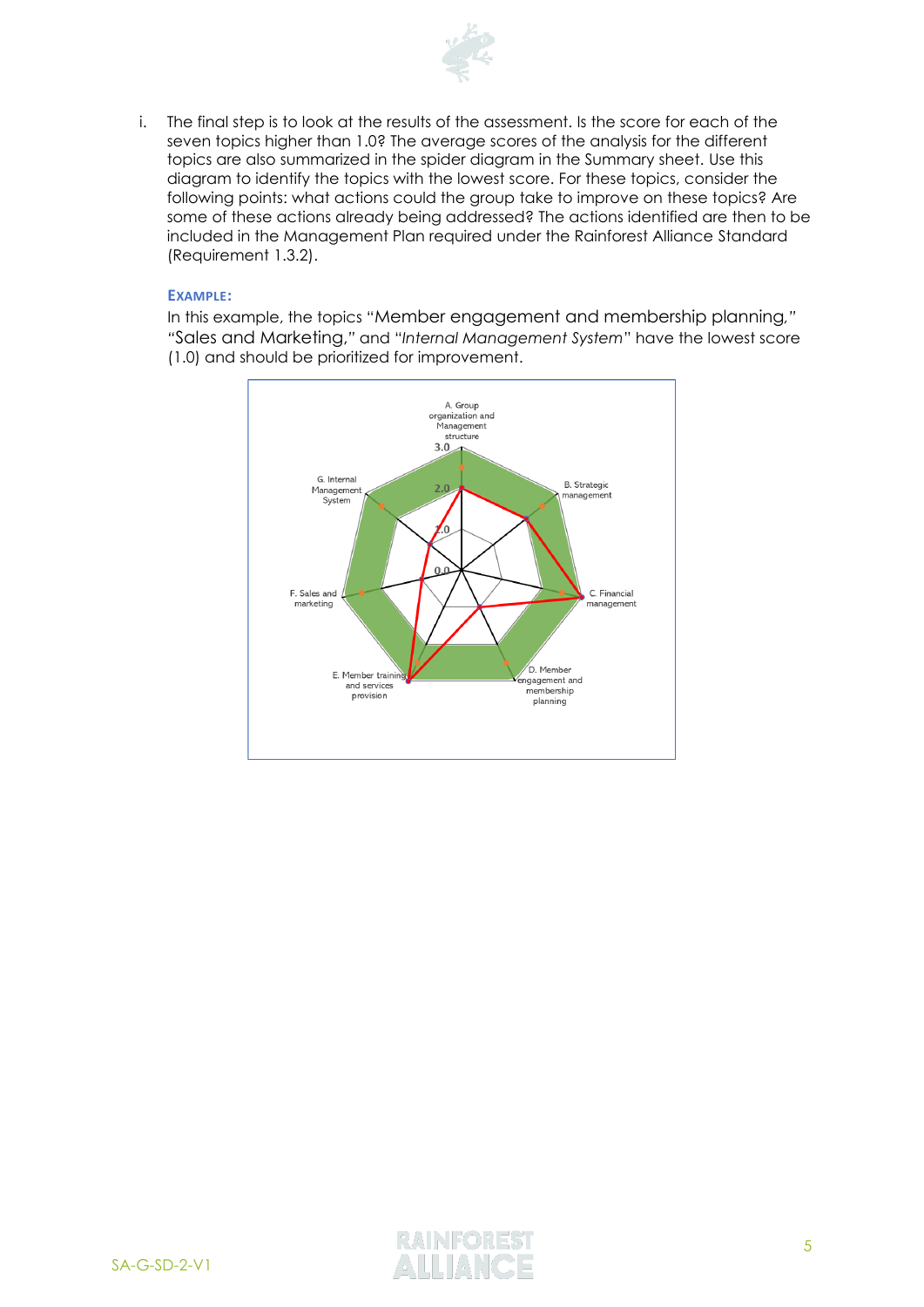

i. The final step is to look at the results of the assessment. Is the score for each of the seven topics higher than 1.0? The average scores of the analysis for the different topics are also summarized in the spider diagram in the Summary sheet. Use this diagram to identify the topics with the lowest score. For these topics, consider the following points: what actions could the group take to improve on these topics? Are some of these actions already being addressed? The actions identified are then to be included in the Management Plan required under the Rainforest Alliance Standard (Requirement 1.3.2).

#### **EXAMPLE:**

In this example, the topics "Member engagement and membership planning*," "*Sales and Marketing,*"* and "*Internal Management System*" have the lowest score (1.0) and should be prioritized for improvement.